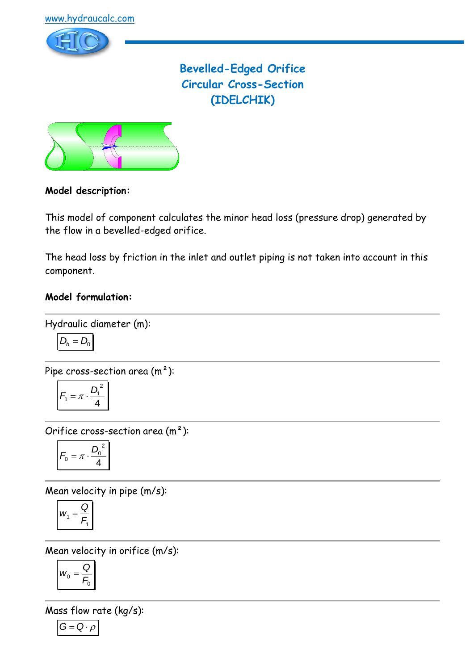

**Bevelled-Edged Orifice Circular Cross-Section (IDELCHIK)**



# **Model description:**

This model of component calculates the minor head loss (pressure drop) generated by the flow in a bevelled-edged orifice.

The head loss by friction in the inlet and outlet piping is not taken into account in this component.

## **Model formulation:**

Hydraulic diameter (m):

$$
D_h = D_0
$$

Pipe cross-section area (m²):

$$
F_1 = \pi \cdot \frac{D_1^2}{4}
$$

Orifice cross-section area (m²):

$$
F_0 = \pi \cdot \frac{D_0^2}{4}
$$

Mean velocity in pipe (m/s):

$$
w_1 = \frac{Q}{F_1}
$$

Mean velocity in orifice (m/s):

$$
W_0=\frac{Q}{F_0}
$$

Mass flow rate (kg/s):

 $G = Q \cdot \rho$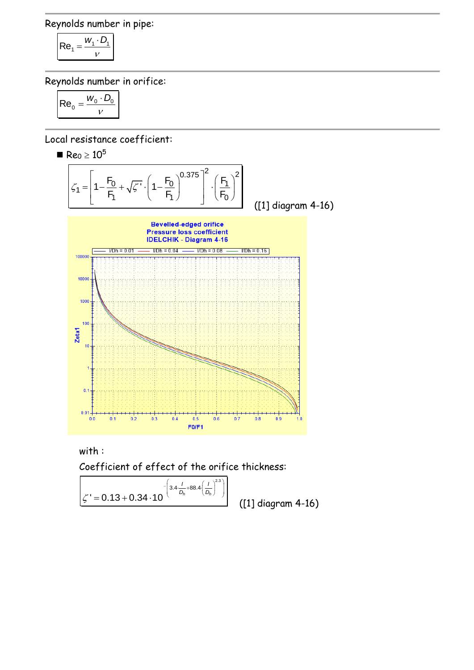Reynolds number in pipe:

$$
\mathsf{Re}_1 = \frac{w_1 \cdot D_1}{v}
$$

Reynolds number in orifice:

$$
\mathsf{Re}_0 = \frac{w_0 \cdot D_0}{v}
$$

Local resistance coefficient:

 $\blacksquare$  Re<sub>0</sub>  $\geq 10^5$ 



with :

Coefficient of effect of the orifice thickness:

$$
\zeta' = 0.13 + 0.34 \cdot 10^{-\left(3.4 \cdot \frac{1}{D_h} + 88.4 \cdot \left(\frac{1}{D_h}\right)^{2.3}\right)}
$$

([1] diagram 4-16)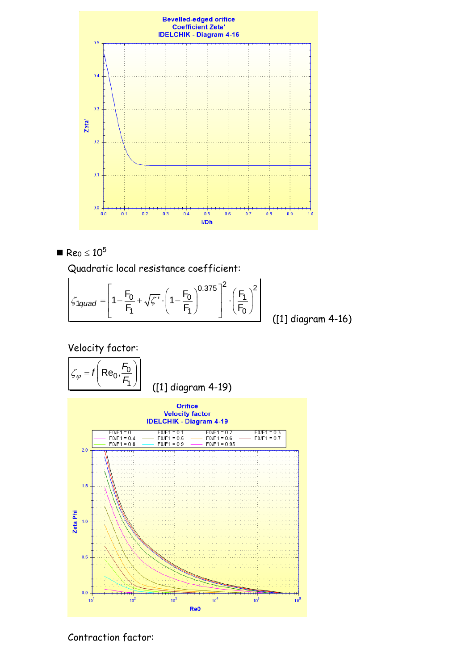

$$
Re_0 \leq 10^5
$$

Quadratic local resistance coefficient:  
\n
$$
\zeta_{1quad} = \left[1 - \frac{F_0}{F_1} + \sqrt{\zeta'} \cdot \left(1 - \frac{F_0}{F_1}\right)^{0.375}\right]^2 \cdot \left(\frac{F_1}{F_0}\right)^2
$$
\n(11) diagram 4-1

([1] diagram 4-16)

Velocity factor:





Contraction factor: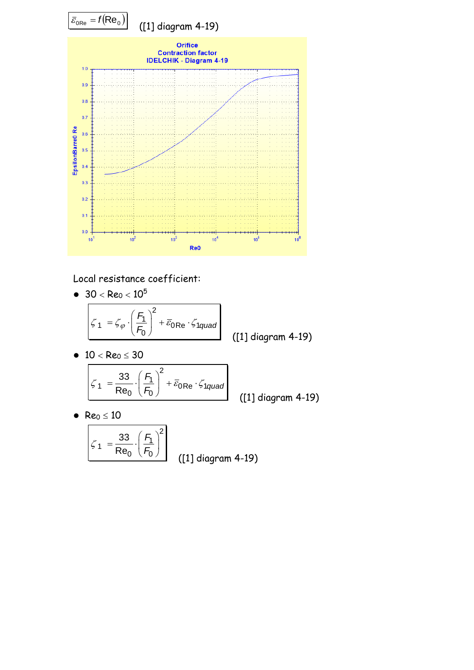

Local resistance coefficient:

 $\bullet$  30 < Re<sub>0</sub> < 10<sup>5</sup>

$$
\mathcal{L}_{1} = \mathcal{L}_{\varphi} \cdot \left(\frac{F_{1}}{F_{0}}\right)^{2} + \overline{\varepsilon}_{0} \text{Re} \cdot \mathcal{L}_{1quad}
$$
 (11) diagram 4-19)

•  $10 < Re_0 \leq 30$ 

$$
\zeta_1 = \frac{33}{\text{Re}_0} \cdot \left(\frac{F_1}{F_0}\right)^2 + \overline{\varepsilon}_{0\text{Re}} \cdot \zeta_{1quad}
$$

([1] diagram 4-19)

•  $Re_0 \le 10$ 

$$
\zeta_1 = \frac{33}{\text{Re}_0} \cdot \left(\frac{F_1}{F_0}\right)^2
$$
 (11) diagram 4-19)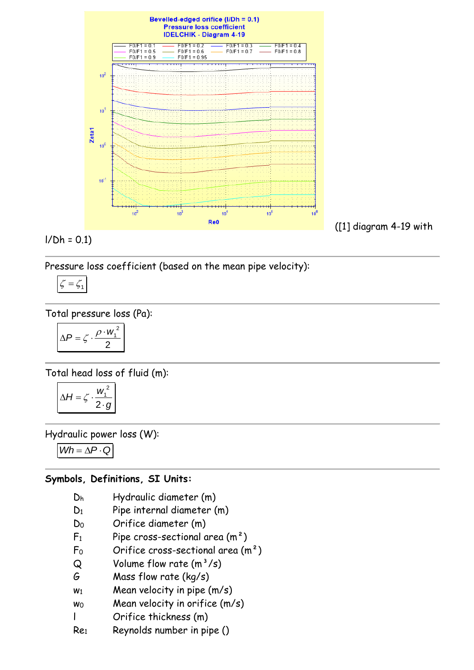

$$
I/Dh = 0.1
$$

Pressure loss coefficient (based on the mean pipe velocity):

$$
\zeta = \zeta_1
$$

Total pressure loss (Pa):

$$
\Delta P = \zeta \cdot \frac{\rho \cdot w_1^2}{2}
$$

Total head loss of fluid (m):

$$
\Delta H = \zeta \cdot \frac{w_1^2}{2 \cdot g}
$$

Hydraulic power loss (W):

 $Wh = \Delta P \cdot Q$ 

# **Symbols, Definitions, SI Units:**

- D<sup>h</sup> Hydraulic diameter (m)
- D<sub>1</sub> Pipe internal diameter (m)
- D<sup>0</sup> Orifice diameter (m)
- $F_1$  Pipe cross-sectional area  $(m^2)$
- $F_0$  Orifice cross-sectional area  $(m<sup>2</sup>)$
- $Q$  Volume flow rate  $(m^3/s)$
- G Mass flow rate (kg/s)
- $w_1$  Mean velocity in pipe  $(m/s)$
- $w_0$  Mean velocity in orifice  $(m/s)$
- l Orifice thickness (m)
- Re<sup>1</sup> Reynolds number in pipe ()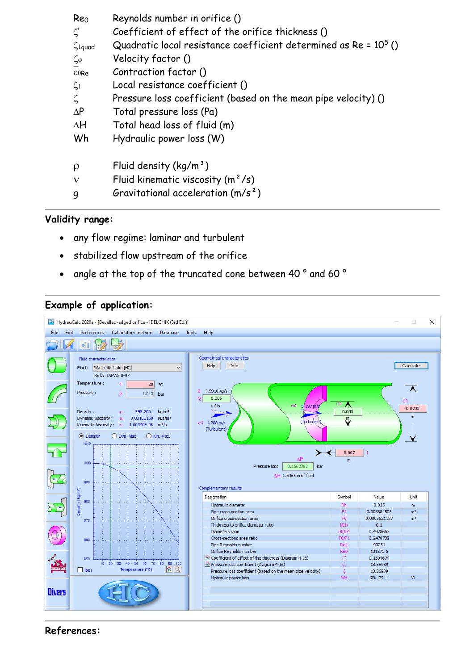| Reo<br>$\zeta'$<br>$\zeta$ <sub>1quad</sub> | Reynolds number in orifice ()<br>Coefficient of effect of the orifice thickness ()<br>Quadratic local resistance coefficient determined as Re = $10^5$ () |
|---------------------------------------------|-----------------------------------------------------------------------------------------------------------------------------------------------------------|
| $\zeta_{\varphi}$                           | Velocity factor ()                                                                                                                                        |
| E0Re                                        | Contraction factor ()                                                                                                                                     |
| $\zeta_1$                                   | Local resistance coefficient ()                                                                                                                           |
| ζ                                           | Pressure loss coefficient (based on the mean pipe velocity) ()                                                                                            |
| $\Delta P$                                  | Total pressure loss (Pa)                                                                                                                                  |
| $\Delta H$                                  | Total head loss of fluid (m)                                                                                                                              |
| Wh                                          | Hydraulic power loss (W)                                                                                                                                  |
| ρ                                           | Fluid density $(kq/m^3)$                                                                                                                                  |
| $\mathbf v$                                 | Fluid kinematic viscosity $(m^2/s)$                                                                                                                       |
|                                             | Gravitational acceleration $(m/s^2)$                                                                                                                      |

## **Validity range:**

- any flow regime: laminar and turbulent
- stabilized flow upstream of the orifice
- angle at the top of the truncated cone between 40 ° and 60 °

## **Example of application:**